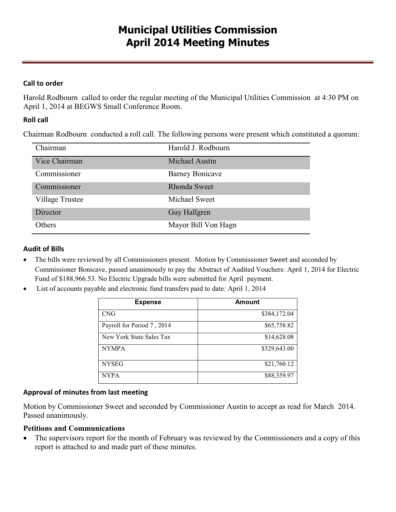## **Call to order**

Harold Rodbourn called to order the regular meeting of the Municipal Utilities Commission at 4:30 PM on April 1, 2014 at BEGWS Small Conference Room.

## **Roll call**

Chairman Rodbourn conducted a roll call. The following persons were present which constituted a quorum:

| Chairman               | Harold J. Rodbourn     |
|------------------------|------------------------|
| Vice Chairman          | Michael Austin         |
| Commissioner           | <b>Barney Bonicave</b> |
| Commissioner           | Rhonda Sweet           |
| <b>Village Trustee</b> | Michael Sweet          |
| Director               | Guy Hallgren           |
| Others                 | Mayor Bill Von Hagn    |

### **Audit of Bills**

- · The bills were reviewed by all Commissioners present. Motion by Commissioner Sweet and seconded by Commissioner Bonicave, passed unanimously to pay the Abstract of Audited Vouchers: April 1, 2014 for Electric Fund of \$188,966.53. No Electric Upgrade bills were submitted for April payment.
- · List of accounts payable and electronic fund transfers paid to date: April 1, 2014

| <b>Expense</b>             | Amount       |
|----------------------------|--------------|
| <b>CNG</b>                 | \$384,172.04 |
| Payroll for Period 7, 2014 | \$65,758.82  |
| New York State Sales Tax   | \$14,628.08  |
| <b>NYMPA</b>               | \$329,643.00 |
| <b>NYSEG</b>               | \$21,760.12  |
| <b>NYPA</b>                | \$88,359.97  |

### **Approval of minutes from last meeting**

Motion by Commissioner Sweet and seconded by Commissioner Austin to accept as read for March 2014. Passed unanimously.

### **Petitions and Communications**

• The supervisors report for the month of February was reviewed by the Commissioners and a copy of this report is attached to and made part of these minutes.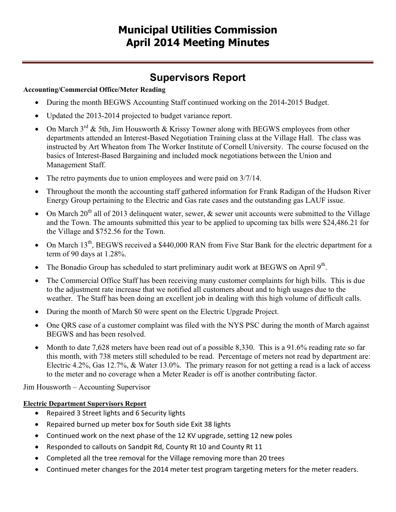# **Municipal Utilities Commission April 2014 Meeting Minutes**

# **Supervisors Report**

## **Accounting/Commercial Office/Meter Reading**

- During the month BEGWS Accounting Staff continued working on the 2014-2015 Budget.
- · Updated the 2013-2014 projected to budget variance report.
- On March  $3^{rd}$  & 5th, Jim Housworth & Krissy Towner along with BEGWS employees from other departments attended an Interest-Based Negotiation Training class at the Village Hall. The class was instructed by Art Wheaton from The Worker Institute of Cornell University. The course focused on the basics of Interest-Based Bargaining and included mock negotiations between the Union and Management Staff.
- The retro payments due to union employees and were paid on  $3/7/14$ .
- · Throughout the month the accounting staff gathered information for Frank Radigan of the Hudson River Energy Group pertaining to the Electric and Gas rate cases and the outstanding gas LAUF issue.
- On March  $20^{th}$  all of 2013 delinquent water, sewer,  $\&$  sewer unit accounts were submitted to the Village and the Town. The amounts submitted this year to be applied to upcoming tax bills were \$24,486.21 for the Village and \$752.56 for the Town.
- On March 13<sup>th</sup>, BEGWS received a \$440,000 RAN from Five Star Bank for the electric department for a term of 90 days at 1.28%.
- The Bonadio Group has scheduled to start preliminary audit work at BEGWS on April  $9<sup>th</sup>$ .
- The Commercial Office Staff has been receiving many customer complaints for high bills. This is due to the adjustment rate increase that we notified all customers about and to high usages due to the weather. The Staff has been doing an excellent job in dealing with this high volume of difficult calls.
- During the month of March \$0 were spent on the Electric Upgrade Project.
- One QRS case of a customer complaint was filed with the NYS PSC during the month of March against BEGWS and has been resolved.
- Month to date 7,628 meters have been read out of a possible 8,330. This is a 91.6% reading rate so far this month, with 738 meters still scheduled to be read. Percentage of meters not read by department are: Electric 4.2%, Gas 12.7%, & Water 13.0%. The primary reason for not getting a read is a lack of access to the meter and no coverage when a Meter Reader is off is another contributing factor.

Jim Housworth – Accounting Supervisor

# **Electric Department Supervisors Report**

- · Repaired 3 Street lights and 6 Security lights
- · Repaired burned up meter box for South side Exit 38 lights
- · Continued work on the next phase of the 12 KV upgrade, setting 12 new poles
- · Responded to callouts on Sandpit Rd, County Rt 10 and County Rt 11
- · Completed all the tree removal for the Village removing more than 20 trees
- · Continued meter changes for the 2014 meter test program targeting meters for the meter readers.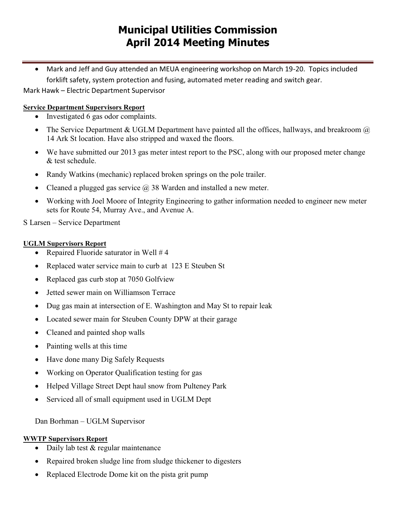# **Municipal Utilities Commission April 2014 Meeting Minutes**

· Mark and Jeff and Guy attended an MEUA engineering workshop on March 19-20. Topics included forklift safety, system protection and fusing, automated meter reading and switch gear.

Mark Hawk – Electric Department Supervisor

## **Service Department Supervisors Report**

- · Investigated 6 gas odor complaints.
- The Service Department & UGLM Department have painted all the offices, hallways, and breakroom  $\omega$ 14 Ark St location. Have also stripped and waxed the floors.
- We have submitted our 2013 gas meter intest report to the PSC, along with our proposed meter change & test schedule.
- Randy Watkins (mechanic) replaced broken springs on the pole trailer.
- Cleaned a plugged gas service  $\overline{a}$  38 Warden and installed a new meter.
- · Working with Joel Moore of Integrity Engineering to gather information needed to engineer new meter sets for Route 54, Murray Ave., and Avenue A.

## S Larsen – Service Department

### **UGLM Supervisors Report**

- Repaired Fluoride saturator in Well # 4
- Replaced water service main to curb at 123 E Steuben St
- Replaced gas curb stop at 7050 Golfview
- · Jetted sewer main on Williamson Terrace
- Dug gas main at intersection of E. Washington and May St to repair leak
- Located sewer main for Steuben County DPW at their garage
- Cleaned and painted shop walls
- Painting wells at this time
- Have done many Dig Safely Requests
- Working on Operator Qualification testing for gas
- Helped Village Street Dept haul snow from Pulteney Park
- Serviced all of small equipment used in UGLM Dept

Dan Borhman – UGLM Supervisor

## **WWTP Supervisors Report**

- Daily lab test & regular maintenance
- Repaired broken sludge line from sludge thickener to digesters
- Replaced Electrode Dome kit on the pista grit pump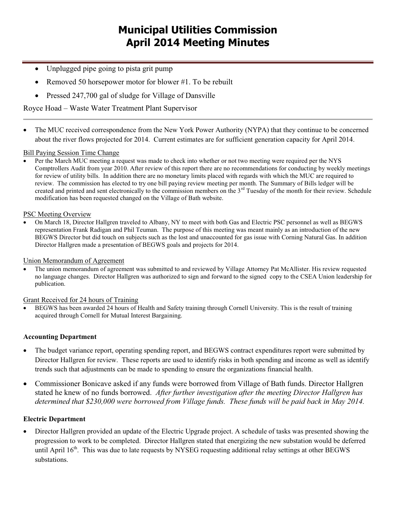- · Unplugged pipe going to pista grit pump
- Removed 50 horsepower motor for blower #1. To be rebuilt
- · Pressed 247,700 gal of sludge for Village of Dansville

Royce Hoad – Waste Water Treatment Plant Supervisor

The MUC received correspondence from the New York Power Authority (NYPA) that they continue to be concerned about the river flows projected for 2014. Current estimates are for sufficient generation capacity for April 2014.

### Bill Paying Session Time Change

Per the March MUC meeting a request was made to check into whether or not two meeting were required per the NYS Comptrollers Audit from year 2010. After review of this report there are no recommendations for conducting by weekly meetings for review of utility bills. In addition there are no monetary limits placed with regards with which the MUC are required to review. The commission has elected to try one bill paying review meeting per month. The Summary of Bills ledger will be created and printed and sent electronically to the commission members on the  $3<sup>rd</sup>$  Tuesday of the month for their review. Schedule modification has been requested changed on the Village of Bath website.

#### PSC Meeting Overview

· On March 18, Director Hallgren traveled to Albany, NY to meet with both Gas and Electric PSC personnel as well as BEGWS representation Frank Radigan and Phil Teuman. The purpose of this meeting was meant mainly as an introduction of the new BEGWS Director but did touch on subjects such as the lost and unaccounted for gas issue with Corning Natural Gas. In addition Director Hallgren made a presentation of BEGWS goals and projects for 2014.

#### Union Memorandum of Agreement

· The union memorandum of agreement was submitted to and reviewed by Village Attorney Pat McAllister. His review requested no language changes. Director Hallgren was authorized to sign and forward to the signed copy to the CSEA Union leadership for publication.

#### Grant Received for 24 hours of Training

BEGWS has been awarded 24 hours of Health and Safety training through Cornell University. This is the result of training acquired through Cornell for Mutual Interest Bargaining.

#### **Accounting Department**

- · The budget variance report, operating spending report, and BEGWS contract expenditures report were submitted by Director Hallgren for review. These reports are used to identify risks in both spending and income as well as identify trends such that adjustments can be made to spending to ensure the organizations financial health.
- Commissioner Bonicave asked if any funds were borrowed from Village of Bath funds. Director Hallgren stated he knew of no funds borrowed. *After further investigation after the meeting Director Hallgren has determined that \$230,000 were borrowed from Village funds. These funds will be paid back in May 2014.*

#### **Electric Department**

Director Hallgren provided an update of the Electric Upgrade project. A schedule of tasks was presented showing the progression to work to be completed. Director Hallgren stated that energizing the new substation would be deferred until April  $16<sup>th</sup>$ . This was due to late requests by NYSEG requesting additional relay settings at other BEGWS substations.